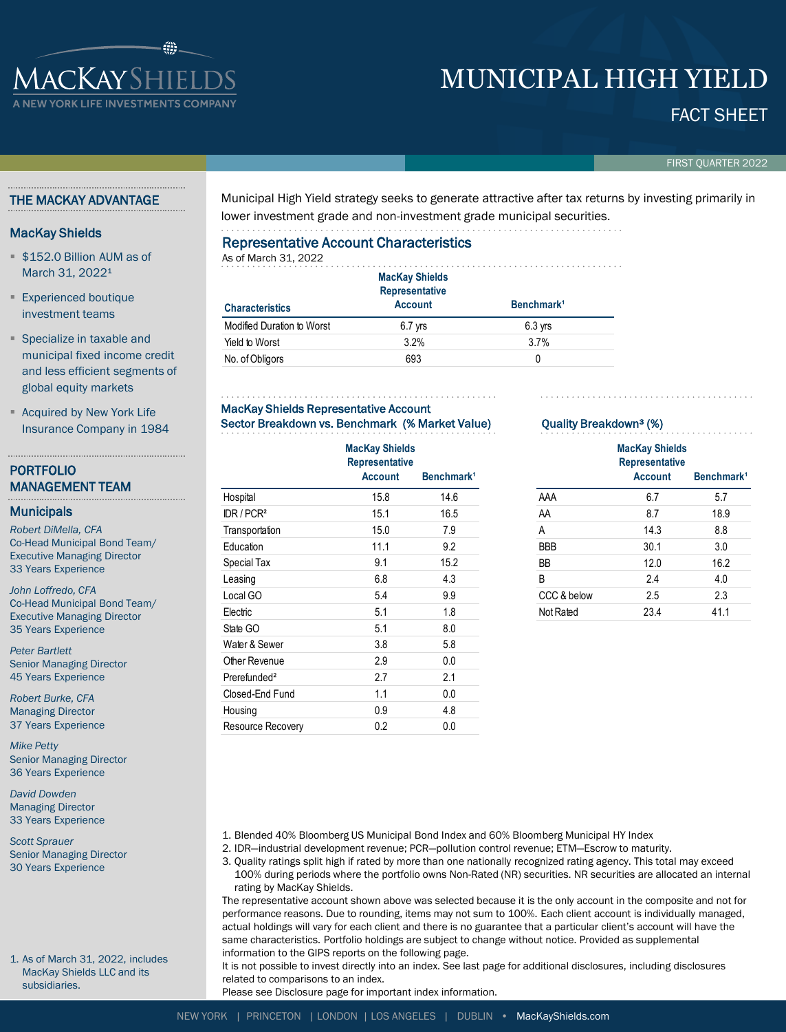# **IACKAYSHIELDS**

## MUNICIPAL HIGH YIELD

### FACT SHEET

FIRST QUARTER 2022

#### THE MACKAY ADVANTAGE

#### MacKay Shields

- **\$152.0 Billion AUM as of** March 31, 2022<sup>1</sup>
- **Experienced boutique** investment teams
- **Specialize in taxable and** municipal fixed income credit and less efficient segments of global equity markets
- **Acquired by New York Life** Insurance Company in 1984

#### PORTFOLIO MANAGEMENT TEAM

#### **Municipals**

*Robert DiMella, CFA* Co-Head Municipal Bond Team/ Executive Managing Director 33 Years Experience

*John Loffredo, CFA* Co-Head Municipal Bond Team/ Executive Managing Director 35 Years Experience

*Peter Bartlett* Senior Managing Director 45 Years Experience

*Robert Burke, CFA* Managing Director 37 Years Experience

*Mike Petty* Senior Managing Director 36 Years Experience

*David Dowden* Managing Director 33 Years Experience

*Scott Sprauer* Senior Managing Director 30 Years Experience

1. As of March 31, 2022, includes MacKay Shields LLC and its subsidiaries.

Municipal High Yield strategy seeks to generate attractive after tax returns by investing primarily in lower investment grade and non-investment grade municipal securities.

#### Representative Account Characteristics

As of March 31, 2022 **Characteristics MacKay Shields Representative**  Account **Benchmark**<sup>1</sup> Modified Duration to Worst 6.7 yrs 6.3 yrs 6.3 yrs Yield to Worst 3.2% 3.7% No. of Obligors 693 0

#### MacKay Shields Representative Account Sector Breakdown vs. Benchmark (% Market Value)

|                                   | <b>MacKay Shields</b><br><b>Representative</b><br><b>Account</b> | Benchmark <sup>1</sup><br>14.6 |  |  |
|-----------------------------------|------------------------------------------------------------------|--------------------------------|--|--|
| Hospital                          | 15.8                                                             |                                |  |  |
| $\mathbb{D}$ R / PCR <sup>2</sup> | 15.1                                                             | 16.5                           |  |  |
| Transportation                    | 15.0                                                             | 7.9                            |  |  |
| Education                         | 11.1                                                             | 9.2                            |  |  |
| Special Tax                       | 9.1                                                              | 15.2                           |  |  |
| Leasing                           | 6.8                                                              | 4.3                            |  |  |
| Local GO                          | 5.4                                                              | 9.9                            |  |  |
| Electric                          | 5.1                                                              | 1.8                            |  |  |
| State GO                          | 5.1                                                              | 8.0                            |  |  |
| Water & Sewer                     | 3.8                                                              | 5.8                            |  |  |
| Other Revenue                     | 2.9                                                              | 0.0                            |  |  |
| Prerefunded <sup>2</sup>          | 2.7                                                              | 2.1                            |  |  |
| Closed-End Fund                   | 1.1                                                              | 0.0                            |  |  |
| Housing                           | 0.9                                                              | 4.8                            |  |  |
| Resource Recovery                 | 0.2                                                              | 0.0                            |  |  |

#### Quality Breakdown³ (%)

|             | <b>MacKay Shields</b><br><b>Representative</b><br><b>Account</b> | Benchmark <sup>1</sup> |
|-------------|------------------------------------------------------------------|------------------------|
| AAA         | 6.7                                                              | 5.7                    |
|             |                                                                  |                        |
| AA          | 8.7                                                              | 18.9                   |
| A           | 14.3                                                             | 8.8                    |
| BBB         | 30.1                                                             | 3.0                    |
| ВB          | 12.0                                                             | 16.2                   |
| B           | 2.4                                                              | 4.0                    |
| CCC & below | 2.5                                                              | 2.3                    |
| Not Rated   | 23.4                                                             | 41.1                   |
|             |                                                                  |                        |

1. Blended 40% Bloomberg US Municipal Bond Index and 60% Bloomberg Municipal HY Index

- 2. IDR—industrial development revenue; PCR—pollution control revenue; ETM—Escrow to maturity.
	- 3. Quality ratings split high if rated by more than one nationally recognized rating agency. This total may exceed 100% during periods where the portfolio owns Non-Rated (NR) securities. NR securities are allocated an internal rating by MacKay Shields.

The representative account shown above was selected because it is the only account in the composite and not for performance reasons. Due to rounding, items may not sum to 100%. Each client account is individually managed, actual holdings will vary for each client and there is no guarantee that a particular client's account will have the same characteristics. Portfolio holdings are subject to change without notice. Provided as supplemental information to the GIPS reports on the following page.

It is not possible to invest directly into an index. See last page for additional disclosures, including disclosures related to comparisons to an index.

Please see Disclosure page for important index information.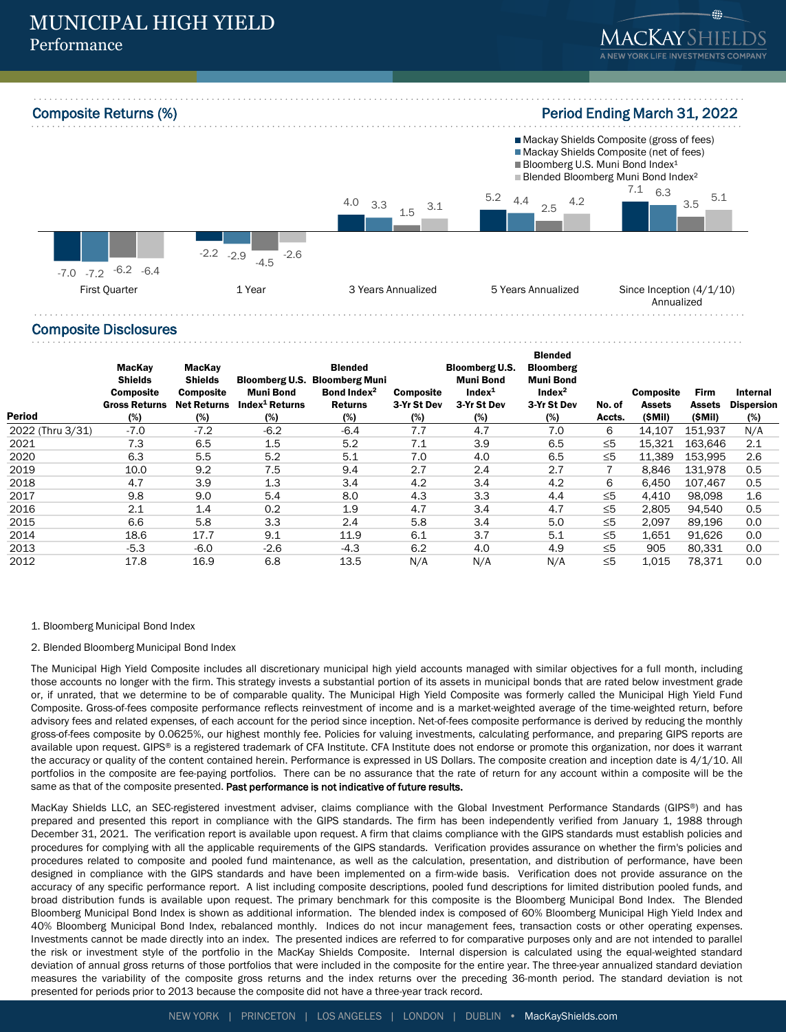Composite Returns (%) **Period Ending March 31, 2022** 



#### Composite Disclosures

| <b>Period</b>    | MacKay<br><b>Shields</b><br><b>Composite</b><br><b>Gross Returns</b><br>(%) | MacKay<br><b>Shields</b><br><b>Composite</b><br><b>Net Returns</b><br>(%) | <b>Bloomberg U.S.</b><br><b>Muni Bond</b><br>Index <sup>1</sup> Returns<br>(%) | <b>Blended</b><br><b>Bloomberg Muni</b><br>Bond Index <sup>2</sup><br><b>Returns</b><br>(%) | <b>Composite</b><br>3-Yr St Dev<br>(%) | <b>Bloomberg U.S.</b><br><b>Muni Bond</b><br>Index <sup>1</sup><br>3-Yr St Dev<br>(%) | <b>Blended</b><br><b>Bloomberg</b><br><b>Muni Bond</b><br>Index <sup>2</sup><br>3-Yr St Dev<br>(%) | No. of<br>Accts. | <b>Composite</b><br>Assets<br>(SMil) | <b>Firm</b><br>Assets<br>(\$Mil) | Internal<br><b>Dispersion</b><br>(%) |
|------------------|-----------------------------------------------------------------------------|---------------------------------------------------------------------------|--------------------------------------------------------------------------------|---------------------------------------------------------------------------------------------|----------------------------------------|---------------------------------------------------------------------------------------|----------------------------------------------------------------------------------------------------|------------------|--------------------------------------|----------------------------------|--------------------------------------|
| 2022 (Thru 3/31) | $-7.0$                                                                      | $-7.2$                                                                    | $-6.2$                                                                         | $-6.4$                                                                                      | 7.7                                    | 4.7                                                                                   | 7.0                                                                                                | 6                | 14.107                               | 151,937                          | N/A                                  |
| 2021             | 7.3                                                                         | 6.5                                                                       | 1.5                                                                            | 5.2                                                                                         | 7.1                                    | 3.9                                                                                   | 6.5                                                                                                | ≤5               | 15,321                               | 163.646                          | 2.1                                  |
| 2020             | 6.3                                                                         | 5.5                                                                       | 5.2                                                                            | 5.1                                                                                         | 7.0                                    | 4.0                                                                                   | 6.5                                                                                                | $\leq 5$         | 11.389                               | 153.995                          | 2.6                                  |
| 2019             | 10.0                                                                        | 9.2                                                                       | 7.5                                                                            | 9.4                                                                                         | 2.7                                    | 2.4                                                                                   | 2.7                                                                                                | 7                | 8,846                                | 131,978                          | 0.5                                  |
| 2018             | 4.7                                                                         | 3.9                                                                       | 1.3                                                                            | 3.4                                                                                         | 4.2                                    | 3.4                                                                                   | 4.2                                                                                                | 6                | 6,450                                | 107.467                          | 0.5                                  |
| 2017             | 9.8                                                                         | 9.0                                                                       | 5.4                                                                            | 8.0                                                                                         | 4.3                                    | 3.3                                                                                   | 4.4                                                                                                | $\leq 5$         | 4,410                                | 98.098                           | 1.6                                  |
| 2016             | 2.1                                                                         | 1.4                                                                       | 0.2                                                                            | 1.9                                                                                         | 4.7                                    | 3.4                                                                                   | 4.7                                                                                                | $\leq 5$         | 2,805                                | 94.540                           | 0.5                                  |
| 2015             | 6.6                                                                         | 5.8                                                                       | 3.3                                                                            | 2.4                                                                                         | 5.8                                    | 3.4                                                                                   | 5.0                                                                                                | $\leq 5$         | 2,097                                | 89,196                           | 0.0                                  |
| 2014             | 18.6                                                                        | 17.7                                                                      | 9.1                                                                            | 11.9                                                                                        | 6.1                                    | 3.7                                                                                   | 5.1                                                                                                | $\leq 5$         | 1,651                                | 91.626                           | 0.0                                  |
| 2013             | $-5.3$                                                                      | $-6.0$                                                                    | $-2.6$                                                                         | $-4.3$                                                                                      | 6.2                                    | 4.0                                                                                   | 4.9                                                                                                | $\leq 5$         | 905                                  | 80.331                           | 0.0                                  |
| 2012             | 17.8                                                                        | 16.9                                                                      | 6.8                                                                            | 13.5                                                                                        | N/A                                    | N/A                                                                                   | N/A                                                                                                | $\leq 5$         | 1,015                                | 78.371                           | 0.0                                  |

- 1. Bloomberg Municipal Bond Index
- 2. Blended Bloomberg Municipal Bond Index

The Municipal High Yield Composite includes all discretionary municipal high yield accounts managed with similar objectives for a full month, including those accounts no longer with the firm. This strategy invests a substantial portion of its assets in municipal bonds that are rated below investment grade or, if unrated, that we determine to be of comparable quality. The Municipal High Yield Composite was formerly called the Municipal High Yield Fund Composite. Gross-of-fees composite performance reflects reinvestment of income and is a market-weighted average of the time-weighted return, before advisory fees and related expenses, of each account for the period since inception. Net-of-fees composite performance is derived by reducing the monthly gross-of-fees composite by 0.0625%, our highest monthly fee. Policies for valuing investments, calculating performance, and preparing GIPS reports are available upon request. GIPS® is a registered trademark of CFA Institute. CFA Institute does not endorse or promote this organization, nor does it warrant the accuracy or quality of the content contained herein. Performance is expressed in US Dollars. The composite creation and inception date is 4/1/10. All portfolios in the composite are fee-paying portfolios. There can be no assurance that the rate of return for any account within a composite will be the same as that of the composite presented. Past performance is not indicative of future results.

MacKay Shields LLC, an SEC-registered investment adviser, claims compliance with the Global Investment Performance Standards (GIPS®) and has prepared and presented this report in compliance with the GIPS standards. The firm has been independently verified from January 1, 1988 through December 31, 2021. The verification report is available upon request. A firm that claims compliance with the GIPS standards must establish policies and procedures for complying with all the applicable requirements of the GIPS standards. Verification provides assurance on whether the firm's policies and procedures related to composite and pooled fund maintenance, as well as the calculation, presentation, and distribution of performance, have been designed in compliance with the GIPS standards and have been implemented on a firm-wide basis. Verification does not provide assurance on the accuracy of any specific performance report. A list including composite descriptions, pooled fund descriptions for limited distribution pooled funds, and broad distribution funds is available upon request. The primary benchmark for this composite is the Bloomberg Municipal Bond Index. The Blended Bloomberg Municipal Bond Index is shown as additional information. The blended index is composed of 60% Bloomberg Municipal High Yield Index and 40% Bloomberg Municipal Bond Index, rebalanced monthly. Indices do not incur management fees, transaction costs or other operating expenses. Investments cannot be made directly into an index. The presented indices are referred to for comparative purposes only and are not intended to parallel the risk or investment style of the portfolio in the MacKay Shields Composite. Internal dispersion is calculated using the equal-weighted standard deviation of annual gross returns of those portfolios that were included in the composite for the entire year. The three-year annualized standard deviation measures the variability of the composite gross returns and the index returns over the preceding 36-month period. The standard deviation is not presented for periods prior to 2013 because the composite did not have a three-year track record.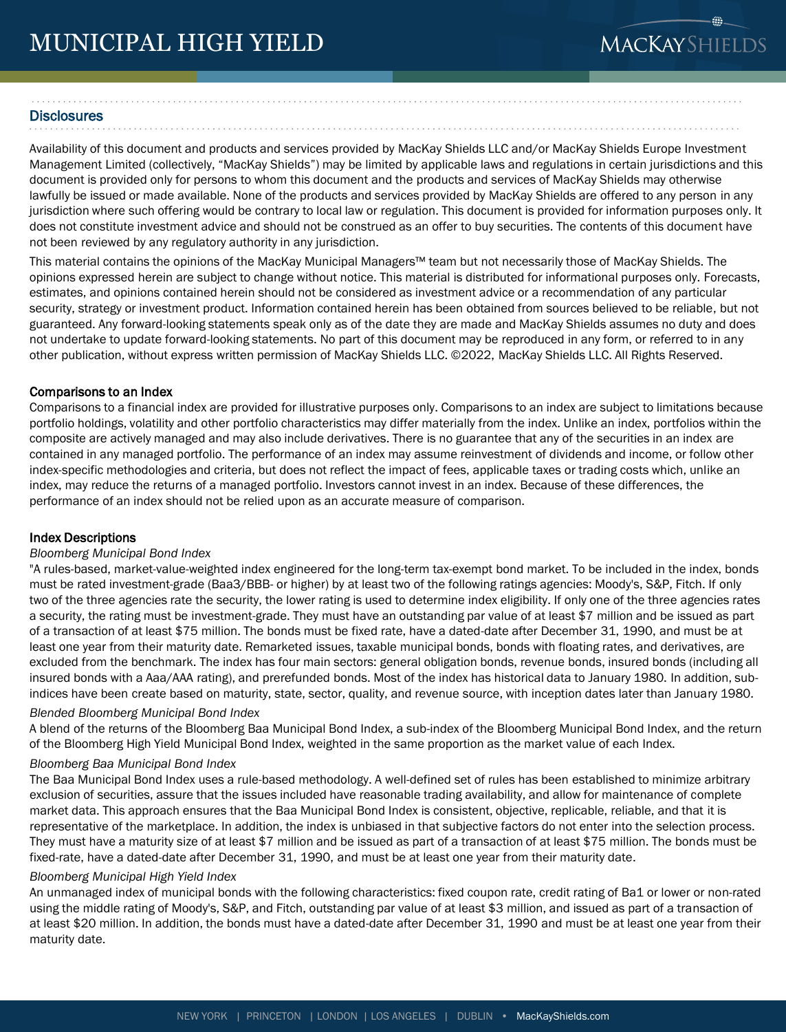## **MACKAYSHIELDS**

#### **Disclosures**

Availability of this document and products and services provided by MacKay Shields LLC and/or MacKay Shields Europe Investment Management Limited (collectively, "MacKay Shields") may be limited by applicable laws and regulations in certain jurisdictions and this document is provided only for persons to whom this document and the products and services of MacKay Shields may otherwise lawfully be issued or made available. None of the products and services provided by MacKay Shields are offered to any person in any jurisdiction where such offering would be contrary to local law or regulation. This document is provided for information purposes only. It does not constitute investment advice and should not be construed as an offer to buy securities. The contents of this document have not been reviewed by any regulatory authority in any jurisdiction.

This material contains the opinions of the MacKay Municipal Managers™ team but not necessarily those of MacKay Shields. The opinions expressed herein are subject to change without notice. This material is distributed for informational purposes only. Forecasts, estimates, and opinions contained herein should not be considered as investment advice or a recommendation of any particular security, strategy or investment product. Information contained herein has been obtained from sources believed to be reliable, but not guaranteed. Any forward-looking statements speak only as of the date they are made and MacKay Shields assumes no duty and does not undertake to update forward-looking statements. No part of this document may be reproduced in any form, or referred to in any other publication, without express written permission of MacKay Shields LLC. ©2022, MacKay Shields LLC. All Rights Reserved.

#### Comparisons to an Index

Comparisons to a financial index are provided for illustrative purposes only. Comparisons to an index are subject to limitations because portfolio holdings, volatility and other portfolio characteristics may differ materially from the index. Unlike an index, portfolios within the composite are actively managed and may also include derivatives. There is no guarantee that any of the securities in an index are contained in any managed portfolio. The performance of an index may assume reinvestment of dividends and income, or follow other index-specific methodologies and criteria, but does not reflect the impact of fees, applicable taxes or trading costs which, unlike an index, may reduce the returns of a managed portfolio. Investors cannot invest in an index. Because of these differences, the performance of an index should not be relied upon as an accurate measure of comparison.

#### Index Descriptions

#### *Bloomberg Municipal Bond Index*

"A rules-based, market-value-weighted index engineered for the long-term tax-exempt bond market. To be included in the index, bonds must be rated investment-grade (Baa3/BBB- or higher) by at least two of the following ratings agencies: Moody's, S&P, Fitch. If only two of the three agencies rate the security, the lower rating is used to determine index eligibility. If only one of the three agencies rates a security, the rating must be investment-grade. They must have an outstanding par value of at least \$7 million and be issued as part of a transaction of at least \$75 million. The bonds must be fixed rate, have a dated-date after December 31, 1990, and must be at least one year from their maturity date. Remarketed issues, taxable municipal bonds, bonds with floating rates, and derivatives, are excluded from the benchmark. The index has four main sectors: general obligation bonds, revenue bonds, insured bonds (including all insured bonds with a Aaa/AAA rating), and prerefunded bonds. Most of the index has historical data to January 1980. In addition, subindices have been create based on maturity, state, sector, quality, and revenue source, with inception dates later than January 1980.

#### *Blended Bloomberg Municipal Bond Index*

A blend of the returns of the Bloomberg Baa Municipal Bond Index, a sub-index of the Bloomberg Municipal Bond Index, and the return of the Bloomberg High Yield Municipal Bond Index, weighted in the same proportion as the market value of each Index.

#### *Bloomberg Baa Municipal Bond Index*

The Baa Municipal Bond Index uses a rule-based methodology. A well-defined set of rules has been established to minimize arbitrary exclusion of securities, assure that the issues included have reasonable trading availability, and allow for maintenance of complete market data. This approach ensures that the Baa Municipal Bond Index is consistent, objective, replicable, reliable, and that it is representative of the marketplace. In addition, the index is unbiased in that subjective factors do not enter into the selection process. They must have a maturity size of at least \$7 million and be issued as part of a transaction of at least \$75 million. The bonds must be fixed-rate, have a dated-date after December 31, 1990, and must be at least one year from their maturity date.

#### *Bloomberg Municipal High Yield Index*

An unmanaged index of municipal bonds with the following characteristics: fixed coupon rate, credit rating of Ba1 or lower or non-rated using the middle rating of Moody's, S&P, and Fitch, outstanding par value of at least \$3 million, and issued as part of a transaction of at least \$20 million. In addition, the bonds must have a dated-date after December 31, 1990 and must be at least one year from their maturity date.